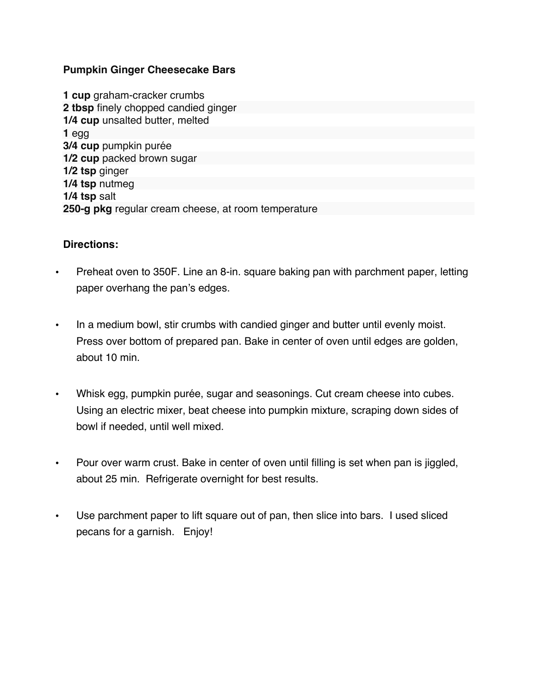## **Pumpkin Ginger Cheesecake Bars**

**1 cup** graham-cracker crumbs **2 tbsp** finely chopped candied ginger **1/4 cup** unsalted butter, melted **1** egg **3/4 cup** pumpkin purée **1/2 cup** packed brown sugar **1/2 tsp** ginger **1/4 tsp** nutmeg **1/4 tsp** salt **250-g pkg** regular cream cheese, at room temperature

## **Directions:**

- Preheat oven to 350F. Line an 8-in. square baking pan with parchment paper, letting paper overhang the pan's edges.
- In a medium bowl, stir crumbs with candied ginger and butter until evenly moist. Press over bottom of prepared pan. Bake in center of oven until edges are golden, about 10 min.
- Whisk egg, pumpkin purée, sugar and seasonings. Cut cream cheese into cubes. Using an electric mixer, beat cheese into pumpkin mixture, scraping down sides of bowl if needed, until well mixed.
- Pour over warm crust. Bake in center of oven until filling is set when pan is jiggled, about 25 min. Refrigerate overnight for best results.
- Use parchment paper to lift square out of pan, then slice into bars. I used sliced pecans for a garnish. Enjoy!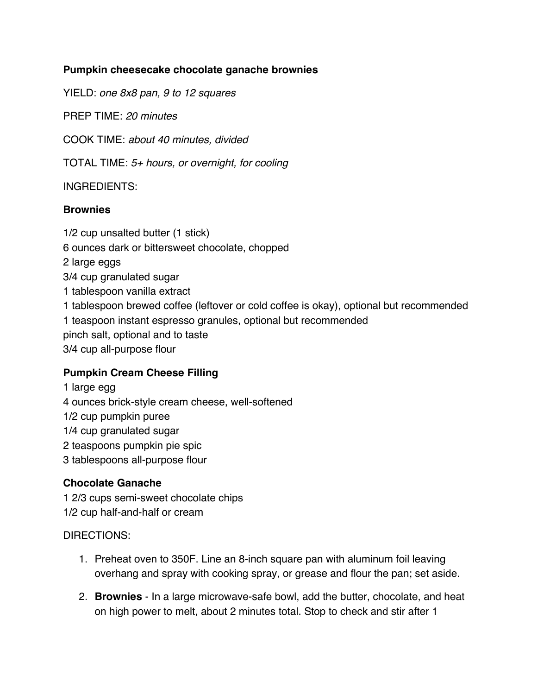# **Pumpkin cheesecake chocolate ganache brownies**

YIELD: *one 8x8 pan, 9 to 12 squares*

PREP TIME: *20 minutes*

COOK TIME: *about 40 minutes, divided*

TOTAL TIME: *5+ hours, or overnight, for cooling*

## INGREDIENTS:

## **Brownies**

1/2 cup unsalted butter (1 stick) 6 ounces dark or bittersweet chocolate, chopped 2 large eggs 3/4 cup granulated sugar 1 tablespoon vanilla extract 1 tablespoon brewed coffee (leftover or cold coffee is okay), optional but recommended 1 teaspoon instant espresso granules, optional but recommended pinch salt, optional and to taste 3/4 cup all-purpose flour

## **Pumpkin Cream Cheese Filling**

1 large egg

4 ounces brick-style cream cheese, well-softened

1/2 cup pumpkin puree

1/4 cup granulated sugar

2 teaspoons pumpkin pie spic

3 tablespoons all-purpose flour

## **Chocolate Ganache**

1 2/3 cups semi-sweet chocolate chips 1/2 cup half-and-half or cream

DIRECTIONS:

- 1. Preheat oven to 350F. Line an 8-inch square pan with aluminum foil leaving overhang and spray with cooking spray, or grease and flour the pan; set aside.
- 2. **Brownies** In a large microwave-safe bowl, add the butter, chocolate, and heat on high power to melt, about 2 minutes total. Stop to check and stir after 1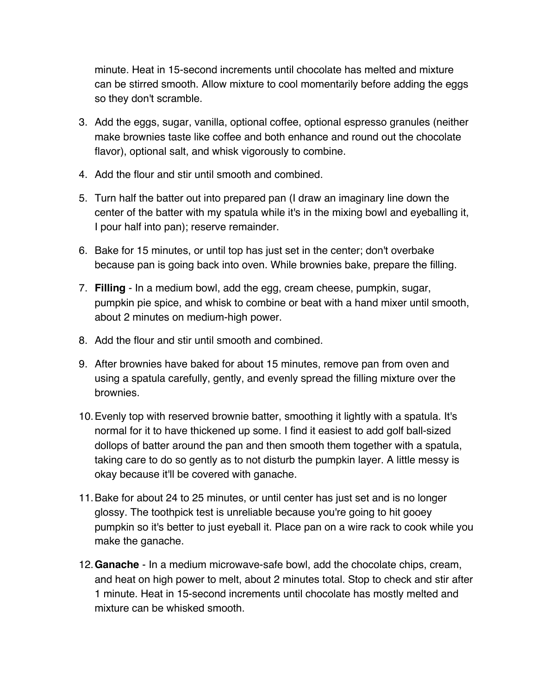minute. Heat in 15-second increments until chocolate has melted and mixture can be stirred smooth. Allow mixture to cool momentarily before adding the eggs so they don't scramble.

- 3. Add the eggs, sugar, vanilla, optional coffee, optional espresso granules (neither make brownies taste like coffee and both enhance and round out the chocolate flavor), optional salt, and whisk vigorously to combine.
- 4. Add the flour and stir until smooth and combined.
- 5. Turn half the batter out into prepared pan (I draw an imaginary line down the center of the batter with my spatula while it's in the mixing bowl and eyeballing it, I pour half into pan); reserve remainder.
- 6. Bake for 15 minutes, or until top has just set in the center; don't overbake because pan is going back into oven. While brownies bake, prepare the filling.
- 7. **Filling** In a medium bowl, add the egg, cream cheese, pumpkin, sugar, pumpkin pie spice, and whisk to combine or beat with a hand mixer until smooth, about 2 minutes on medium-high power.
- 8. Add the flour and stir until smooth and combined.
- 9. After brownies have baked for about 15 minutes, remove pan from oven and using a spatula carefully, gently, and evenly spread the filling mixture over the brownies.
- 10.Evenly top with reserved brownie batter, smoothing it lightly with a spatula. It's normal for it to have thickened up some. I find it easiest to add golf ball-sized dollops of batter around the pan and then smooth them together with a spatula, taking care to do so gently as to not disturb the pumpkin layer. A little messy is okay because it'll be covered with ganache.
- 11.Bake for about 24 to 25 minutes, or until center has just set and is no longer glossy. The toothpick test is unreliable because you're going to hit gooey pumpkin so it's better to just eyeball it. Place pan on a wire rack to cook while you make the ganache.
- 12.**Ganache** In a medium microwave-safe bowl, add the chocolate chips, cream, and heat on high power to melt, about 2 minutes total. Stop to check and stir after 1 minute. Heat in 15-second increments until chocolate has mostly melted and mixture can be whisked smooth.